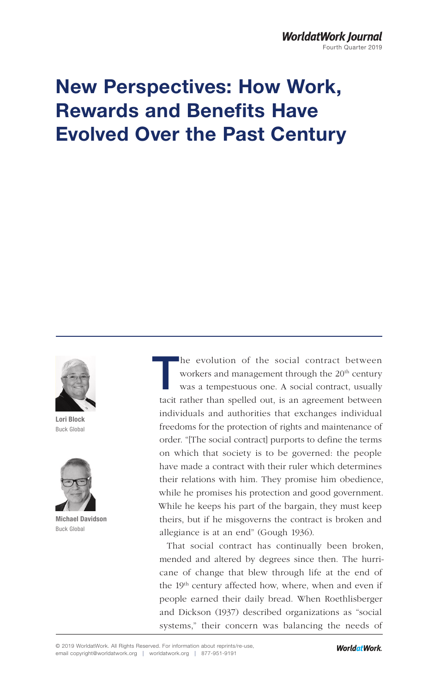# New Perspectives: How Work, Rewards and Benefits Have Evolved Over the Past Century



Lori Block Buck Global



Michael Davidson Buck Global

The evolution of the social contract between<br>workers and management through the 20<sup>th</sup> century<br>was a tempestuous one. A social contract, usually workers and management through the 20<sup>th</sup> century was a tempestuous one. A social contract, usually tacit rather than spelled out, is an agreement between individuals and authorities that exchanges individual freedoms for the protection of rights and maintenance of order. "[The social contract] purports to define the terms on which that society is to be governed: the people have made a contract with their ruler which determines their relations with him. They promise him obedience, while he promises his protection and good government. While he keeps his part of the bargain, they must keep theirs, but if he misgoverns the contract is broken and allegiance is at an end" (Gough 1936).

That social contract has continually been broken, mended and altered by degrees since then. The hurricane of change that blew through life at the end of the 19<sup>th</sup> century affected how, where, when and even if people earned their daily bread. When Roethlisberger and Dickson (1937) described organizations as "social systems," their concern was balancing the needs of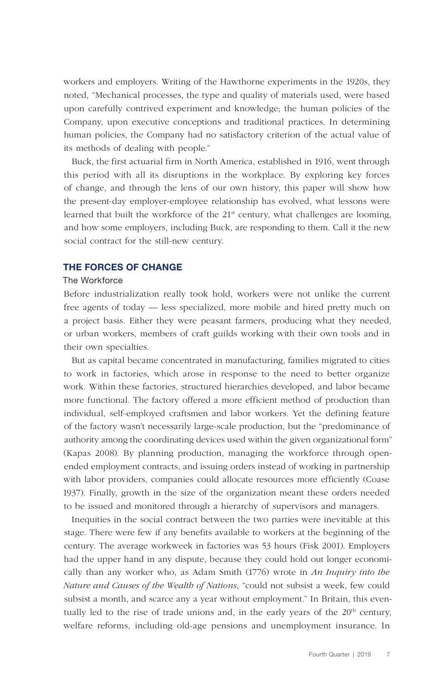workers and employers. Writing of the Hawthorne experiments in the 1920s, they noted, "Mechanical processes, the type and quality of materials used, were based upon carefully contrived experiment and knowledge; the human policies of the Company, upon executive conceptions and traditional practices. In determining human policies, the Company had no satisfactory criterion of the actual value of its methods of dealing with people."

Buck, the first actuarial firm in North America, established in 1916, went through this period with all its disruptions in the workplace. By exploring key forces of change, and through the lens of our own history, this paper will show how the present-day employer-employee relationship has evolved, what lessons were learned that built the workforce of the  $21<sup>st</sup>$  century, what challenges are looming, and how some employers, including Buck, are responding to them. Call it the new social contract for the still-new century.

## THE FORCES OF CHANGE

#### The Workforce

Before industrialization really took hold, workers were not unlike the current free agents of today — less specialized, more mobile and hired pretty much on a project basis. Either they were peasant farmers, producing what they needed, or urban workers, members of craft guilds working with their own tools and in their own specialties.

But as capital became concentrated in manufacturing, families migrated to cities to work in factories, which arose in response to the need to better organize work. Within these factories, structured hierarchies developed, and labor became more functional. The factory offered a more efficient method of production than individual, self-employed craftsmen and labor workers. Yet the defining feature of the factory wasn't necessarily large-scale production, but the "predominance of authority among the coordinating devices used within the given organizational form" (Kapas 2008). By planning production, managing the workforce through openended employment contracts, and issuing orders instead of working in partnership with labor providers, companies could allocate resources more efficiently (Coase 1937). Finally, growth in the size of the organization meant these orders needed to be issued and monitored through a hierarchy of supervisors and managers.

Inequities in the social contract between the two parties were inevitable at this stage. There were few if any benefits available to workers at the beginning of the century. The average workweek in factories was 53 hours (Fisk 2001). Employers had the upper hand in any dispute, because they could hold out longer economically than any worker who, as Adam Smith (1776) wrote in *An Inquiry into the Nature and Causes of the Wealth of Nations*, "could not subsist a week, few could subsist a month, and scarce any a year without employment." In Britain, this eventually led to the rise of trade unions and, in the early years of the 20<sup>th</sup> century, welfare reforms, including old-age pensions and unemployment insurance. In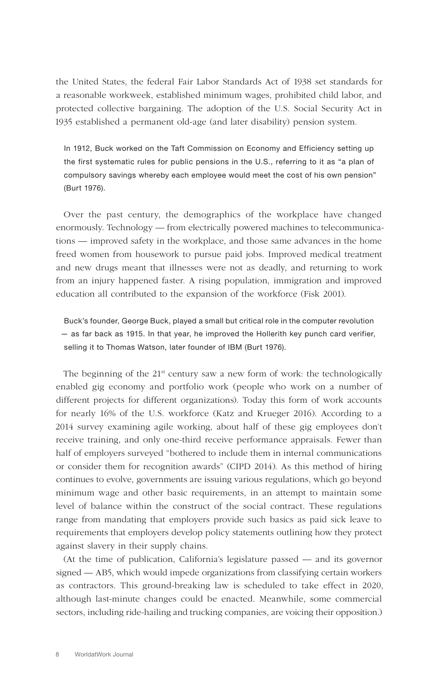the United States, the federal Fair Labor Standards Act of 1938 set standards for a reasonable workweek, established minimum wages, prohibited child labor, and protected collective bargaining. The adoption of the U.S. Social Security Act in 1935 established a permanent old-age (and later disability) pension system.

In 1912, Buck worked on the Taft Commission on Economy and Efficiency setting up the first systematic rules for public pensions in the U.S., referring to it as "a plan of compulsory savings whereby each employee would meet the cost of his own pension" (Burt 1976).

Over the past century, the demographics of the workplace have changed enormously. Technology — from electrically powered machines to telecommunications — improved safety in the workplace, and those same advances in the home freed women from housework to pursue paid jobs. Improved medical treatment and new drugs meant that illnesses were not as deadly, and returning to work from an injury happened faster. A rising population, immigration and improved education all contributed to the expansion of the workforce (Fisk 2001).

Buck's founder, George Buck, played a small but critical role in the computer revolution — as far back as 1915. In that year, he improved the Hollerith key punch card verifier, selling it to Thomas Watson, later founder of IBM (Burt 1976).

The beginning of the  $21<sup>st</sup>$  century saw a new form of work: the technologically enabled gig economy and portfolio work (people who work on a number of different projects for different organizations). Today this form of work accounts for nearly 16% of the U.S. workforce (Katz and Krueger 2016). According to a 2014 survey examining agile working, about half of these gig employees don't receive training, and only one-third receive performance appraisals. Fewer than half of employers surveyed "bothered to include them in internal communications or consider them for recognition awards" (CIPD 2014). As this method of hiring continues to evolve, governments are issuing various regulations, which go beyond minimum wage and other basic requirements, in an attempt to maintain some level of balance within the construct of the social contract. These regulations range from mandating that employers provide such basics as paid sick leave to requirements that employers develop policy statements outlining how they protect against slavery in their supply chains.

(At the time of publication, California's legislature passed — and its governor signed — AB5, which would impede organizations from classifying certain workers as contractors. This ground-breaking law is scheduled to take effect in 2020, although last-minute changes could be enacted. Meanwhile, some commercial sectors, including ride-hailing and trucking companies, are voicing their opposition.)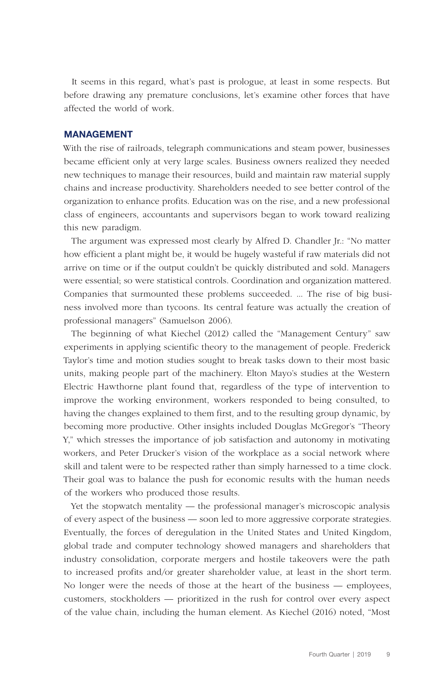It seems in this regard, what's past is prologue, at least in some respects. But before drawing any premature conclusions, let's examine other forces that have affected the world of work.

## MANAGEMENT

With the rise of railroads, telegraph communications and steam power, businesses became efficient only at very large scales. Business owners realized they needed new techniques to manage their resources, build and maintain raw material supply chains and increase productivity. Shareholders needed to see better control of the organization to enhance profits. Education was on the rise, and a new professional class of engineers, accountants and supervisors began to work toward realizing this new paradigm.

The argument was expressed most clearly by Alfred D. Chandler Jr.: "No matter how efficient a plant might be, it would be hugely wasteful if raw materials did not arrive on time or if the output couldn't be quickly distributed and sold. Managers were essential; so were statistical controls. Coordination and organization mattered. Companies that surmounted these problems succeeded. ... The rise of big business involved more than tycoons. Its central feature was actually the creation of professional managers" (Samuelson 2006).

The beginning of what Kiechel (2012) called the "Management Century" saw experiments in applying scientific theory to the management of people. Frederick Taylor's time and motion studies sought to break tasks down to their most basic units, making people part of the machinery. Elton Mayo's studies at the Western Electric Hawthorne plant found that, regardless of the type of intervention to improve the working environment, workers responded to being consulted, to having the changes explained to them first, and to the resulting group dynamic, by becoming more productive. Other insights included Douglas McGregor's "Theory Y," which stresses the importance of job satisfaction and autonomy in motivating workers, and Peter Drucker's vision of the workplace as a social network where skill and talent were to be respected rather than simply harnessed to a time clock. Their goal was to balance the push for economic results with the human needs of the workers who produced those results.

Yet the stopwatch mentality — the professional manager's microscopic analysis of every aspect of the business — soon led to more aggressive corporate strategies. Eventually, the forces of deregulation in the United States and United Kingdom, global trade and computer technology showed managers and shareholders that industry consolidation, corporate mergers and hostile takeovers were the path to increased profits and/or greater shareholder value, at least in the short term. No longer were the needs of those at the heart of the business — employees, customers, stockholders — prioritized in the rush for control over every aspect of the value chain, including the human element. As Kiechel (2016) noted, "Most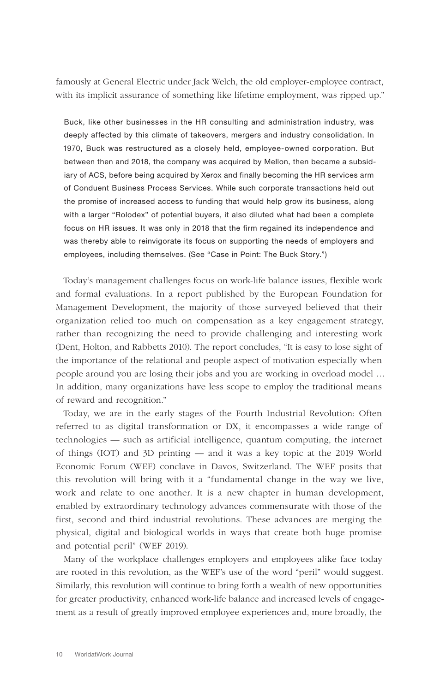famously at General Electric under Jack Welch, the old employer-employee contract, with its implicit assurance of something like lifetime employment, was ripped up."

Buck, like other businesses in the HR consulting and administration industry, was deeply affected by this climate of takeovers, mergers and industry consolidation. In 1970, Buck was restructured as a closely held, employee-owned corporation. But between then and 2018, the company was acquired by Mellon, then became a subsidiary of ACS, before being acquired by Xerox and finally becoming the HR services arm of Conduent Business Process Services. While such corporate transactions held out the promise of increased access to funding that would help grow its business, along with a larger "Rolodex" of potential buyers, it also diluted what had been a complete focus on HR issues. It was only in 2018 that the firm regained its independence and was thereby able to reinvigorate its focus on supporting the needs of employers and employees, including themselves. (See "Case in Point: The Buck Story.")

Today's management challenges focus on work-life balance issues, flexible work and formal evaluations. In a report published by the European Foundation for Management Development, the majority of those surveyed believed that their organization relied too much on compensation as a key engagement strategy, rather than recognizing the need to provide challenging and interesting work (Dent, Holton, and Rabbetts 2010). The report concludes, "It is easy to lose sight of the importance of the relational and people aspect of motivation especially when people around you are losing their jobs and you are working in overload model … In addition, many organizations have less scope to employ the traditional means of reward and recognition."

Today, we are in the early stages of the Fourth Industrial Revolution: Often referred to as digital transformation or DX, it encompasses a wide range of technologies — such as artificial intelligence, quantum computing, the internet of things (IOT) and 3D printing — and it was a key topic at the 2019 World Economic Forum (WEF) conclave in Davos, Switzerland. The WEF posits that this revolution will bring with it a "fundamental change in the way we live, work and relate to one another. It is a new chapter in human development, enabled by extraordinary technology advances commensurate with those of the first, second and third industrial revolutions. These advances are merging the physical, digital and biological worlds in ways that create both huge promise and potential peril" (WEF 2019).

Many of the workplace challenges employers and employees alike face today are rooted in this revolution, as the WEF's use of the word "peril" would suggest. Similarly, this revolution will continue to bring forth a wealth of new opportunities for greater productivity, enhanced work-life balance and increased levels of engagement as a result of greatly improved employee experiences and, more broadly, the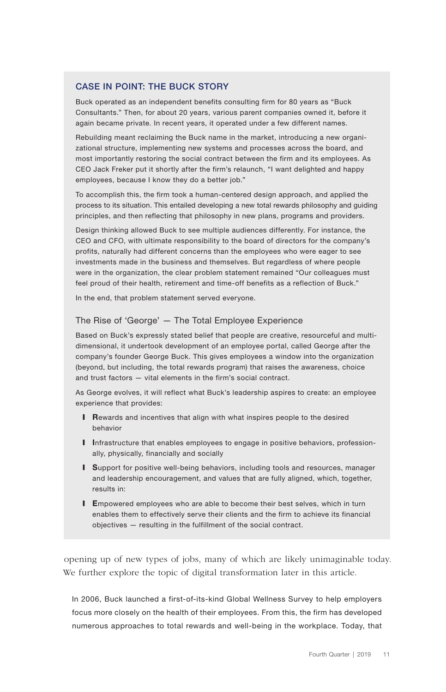## CASE IN POINT: THE BUCK STORY

Buck operated as an independent benefits consulting firm for 80 years as "Buck Consultants." Then, for about 20 years, various parent companies owned it, before it again became private. In recent years, it operated under a few different names.

Rebuilding meant reclaiming the Buck name in the market, introducing a new organizational structure, implementing new systems and processes across the board, and most importantly restoring the social contract between the firm and its employees. As CEO Jack Freker put it shortly after the firm's relaunch, "I want delighted and happy employees, because I know they do a better job."

To accomplish this, the firm took a human-centered design approach, and applied the process to its situation. This entailed developing a new total rewards philosophy and guiding principles, and then reflecting that philosophy in new plans, programs and providers.

Design thinking allowed Buck to see multiple audiences differently. For instance, the CEO and CFO, with ultimate responsibility to the board of directors for the company's profits, naturally had different concerns than the employees who were eager to see investments made in the business and themselves. But regardless of where people were in the organization, the clear problem statement remained "Our colleagues must feel proud of their health, retirement and time-off benefits as a reflection of Buck."

In the end, that problem statement served everyone.

### The Rise of 'George' — The Total Employee Experience

Based on Buck's expressly stated belief that people are creative, resourceful and multidimensional, it undertook development of an employee portal, called George after the company's founder George Buck. This gives employees a window into the organization (beyond, but including, the total rewards program) that raises the awareness, choice and trust factors — vital elements in the firm's social contract.

As George evolves, it will reflect what Buck's leadership aspires to create: an employee experience that provides:

- **I** Rewards and incentives that align with what inspires people to the desired behavior
- **Ⅰ** Infrastructure that enables employees to engage in positive behaviors, professionally, physically, financially and socially
- **I** Support for positive well-being behaviors, including tools and resources, manager and leadership encouragement, and values that are fully aligned, which, together, results in:
- **Ⅰ Empowered employees who are able to become their best selves, which in turn** enables them to effectively serve their clients and the firm to achieve its financial objectives — resulting in the fulfillment of the social contract.

opening up of new types of jobs, many of which are likely unimaginable today. We further explore the topic of digital transformation later in this article.

In 2006, Buck launched a first-of-its-kind Global Wellness Survey to help employers focus more closely on the health of their employees. From this, the firm has developed numerous approaches to total rewards and well-being in the workplace. Today, that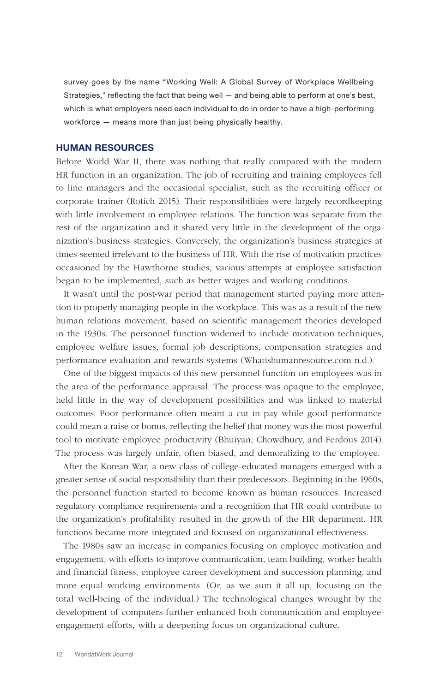survey goes by the name "Working Well: A Global Survey of Workplace Wellbeing Strategies," reflecting the fact that being well — and being able to perform at one's best, which is what employers need each individual to do in order to have a high-performing workforce — means more than just being physically healthy.

#### HUMAN RESOURCES

Before World War II, there was nothing that really compared with the modern HR function in an organization. The job of recruiting and training employees fell to line managers and the occasional specialist, such as the recruiting officer or corporate trainer (Rotich 2015). Their responsibilities were largely recordkeeping with little involvement in employee relations. The function was separate from the rest of the organization and it shared very little in the development of the organization's business strategies. Conversely, the organization's business strategies at times seemed irrelevant to the business of HR. With the rise of motivation practices occasioned by the Hawthorne studies, various attempts at employee satisfaction began to be implemented, such as better wages and working conditions.

It wasn't until the post-war period that management started paying more attention to properly managing people in the workplace. This was as a result of the new human relations movement, based on scientific management theories developed in the 1930s. The personnel function widened to include motivation techniques, employee welfare issues, formal job descriptions, compensation strategies and performance evaluation and rewards systems (Whatishumanresource.com n.d.).

One of the biggest impacts of this new personnel function on employees was in the area of the performance appraisal. The process was opaque to the employee, held little in the way of development possibilities and was linked to material outcomes: Poor performance often meant a cut in pay while good performance could mean a raise or bonus, reflecting the belief that money was the most powerful tool to motivate employee productivity (Bhuiyan, Chowdhury, and Ferdous 2014). The process was largely unfair, often biased, and demoralizing to the employee.

After the Korean War, a new class of college-educated managers emerged with a greater sense of social responsibility than their predecessors. Beginning in the 1960s, the personnel function started to become known as human resources. Increased regulatory compliance requirements and a recognition that HR could contribute to the organization's profitability resulted in the growth of the HR department. HR functions became more integrated and focused on organizational effectiveness.

The 1980s saw an increase in companies focusing on employee motivation and engagement, with efforts to improve communication, team building, worker health and financial fitness, employee career development and succession planning, and more equal working environments. (Or, as we sum it all up, focusing on the total well-being of the individual.) The technological changes wrought by the development of computers further enhanced both communication and employeeengagement efforts, with a deepening focus on organizational culture.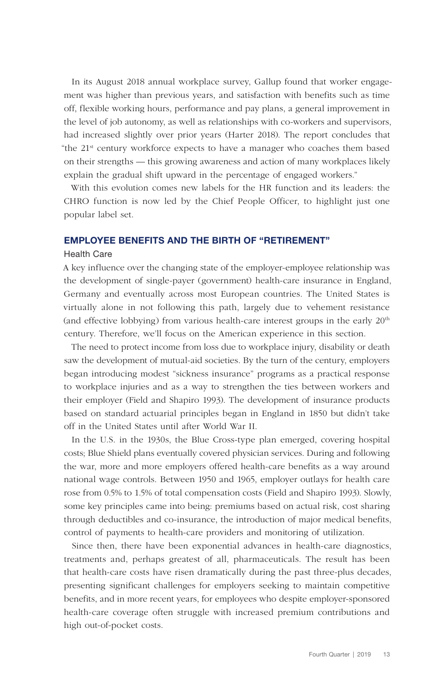In its August 2018 annual workplace survey, Gallup found that worker engagement was higher than previous years, and satisfaction with benefits such as time off, flexible working hours, performance and pay plans, a general improvement in the level of job autonomy, as well as relationships with co-workers and supervisors, had increased slightly over prior years (Harter 2018). The report concludes that "the 21<sup>st</sup> century workforce expects to have a manager who coaches them based on their strengths — this growing awareness and action of many workplaces likely explain the gradual shift upward in the percentage of engaged workers."

With this evolution comes new labels for the HR function and its leaders: the CHRO function is now led by the Chief People Officer, to highlight just one popular label set.

## EMPLOYEE BENEFITS AND THE BIRTH OF "RETIREMENT"

#### Health Care

A key influence over the changing state of the employer-employee relationship was the development of single-payer (government) health-care insurance in England, Germany and eventually across most European countries. The United States is virtually alone in not following this path, largely due to vehement resistance (and effective lobbying) from various health-care interest groups in the early 20<sup>th</sup> century. Therefore, we'll focus on the American experience in this section.

The need to protect income from loss due to workplace injury, disability or death saw the development of mutual-aid societies. By the turn of the century, employers began introducing modest "sickness insurance" programs as a practical response to workplace injuries and as a way to strengthen the ties between workers and their employer (Field and Shapiro 1993). The development of insurance products based on standard actuarial principles began in England in 1850 but didn't take off in the United States until after World War II.

In the U.S. in the 1930s, the Blue Cross-type plan emerged, covering hospital costs; Blue Shield plans eventually covered physician services. During and following the war, more and more employers offered health-care benefits as a way around national wage controls. Between 1950 and 1965, employer outlays for health care rose from 0.5% to 1.5% of total compensation costs (Field and Shapiro 1993). Slowly, some key principles came into being: premiums based on actual risk, cost sharing through deductibles and co-insurance, the introduction of major medical benefits, control of payments to health-care providers and monitoring of utilization.

Since then, there have been exponential advances in health-care diagnostics, treatments and, perhaps greatest of all, pharmaceuticals. The result has been that health-care costs have risen dramatically during the past three-plus decades, presenting significant challenges for employers seeking to maintain competitive benefits, and in more recent years, for employees who despite employer-sponsored health-care coverage often struggle with increased premium contributions and high out-of-pocket costs.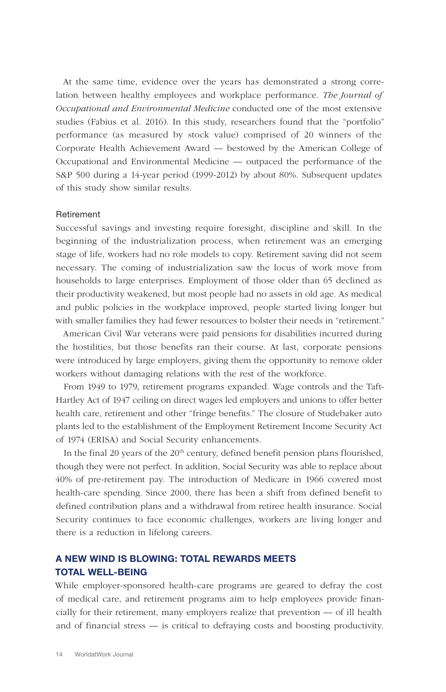At the same time, evidence over the years has demonstrated a strong correlation between healthy employees and workplace performance. *The Journal of Occupational and Environmental Medicine* conducted one of the most extensive studies (Fabius et al. 2016). In this study, researchers found that the "portfolio" performance (as measured by stock value) comprised of 20 winners of the Corporate Health Achievement Award — bestowed by the American College of Occupational and Environmental Medicine — outpaced the performance of the S&P 500 during a 14-year period (1999-2012) by about 80%. Subsequent updates of this study show similar results.

#### Retirement

Successful savings and investing require foresight, discipline and skill. In the beginning of the industrialization process, when retirement was an emerging stage of life, workers had no role models to copy. Retirement saving did not seem necessary. The coming of industrialization saw the locus of work move from households to large enterprises. Employment of those older than 65 declined as their productivity weakened, but most people had no assets in old age. As medical and public policies in the workplace improved, people started living longer but with smaller families they had fewer resources to bolster their needs in "retirement."

American Civil War veterans were paid pensions for disabilities incurred during the hostilities, but those benefits ran their course. At last, corporate pensions were introduced by large employers, giving them the opportunity to remove older workers without damaging relations with the rest of the workforce.

From 1949 to 1979, retirement programs expanded. Wage controls and the Taft-Hartley Act of 1947 ceiling on direct wages led employers and unions to offer better health care, retirement and other "fringe benefits." The closure of Studebaker auto plants led to the establishment of the Employment Retirement Income Security Act of 1974 (ERISA) and Social Security enhancements.

In the final 20 years of the  $20<sup>th</sup>$  century, defined benefit pension plans flourished, though they were not perfect. In addition, Social Security was able to replace about 40% of pre-retirement pay. The introduction of Medicare in 1966 covered most health-care spending. Since 2000, there has been a shift from defined benefit to defined contribution plans and a withdrawal from retiree health insurance. Social Security continues to face economic challenges, workers are living longer and there is a reduction in lifelong careers.

# A NEW WIND IS BLOWING: TOTAL REWARDS MEETS TOTAL WELL-BEING

While employer-sponsored health-care programs are geared to defray the cost of medical care, and retirement programs aim to help employees provide financially for their retirement, many employers realize that prevention — of ill health and of financial stress — is critical to defraying costs and boosting productivity.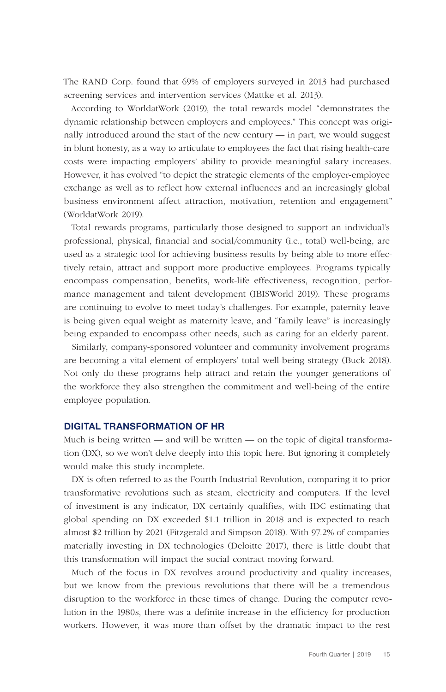The RAND Corp. found that 69% of employers surveyed in 2013 had purchased screening services and intervention services (Mattke et al. 2013).

According to WorldatWork (2019), the total rewards model "demonstrates the dynamic relationship between employers and employees." This concept was originally introduced around the start of the new century — in part, we would suggest in blunt honesty, as a way to articulate to employees the fact that rising health-care costs were impacting employers' ability to provide meaningful salary increases. However, it has evolved "to depict the strategic elements of the employer-employee exchange as well as to reflect how external influences and an increasingly global business environment affect attraction, motivation, retention and engagement" (WorldatWork 2019).

Total rewards programs, particularly those designed to support an individual's professional, physical, financial and social/community (i.e., total) well-being, are used as a strategic tool for achieving business results by being able to more effectively retain, attract and support more productive employees. Programs typically encompass compensation, benefits, work-life effectiveness, recognition, performance management and talent development (IBISWorld 2019). These programs are continuing to evolve to meet today's challenges. For example, paternity leave is being given equal weight as maternity leave, and "family leave" is increasingly being expanded to encompass other needs, such as caring for an elderly parent.

Similarly, company-sponsored volunteer and community involvement programs are becoming a vital element of employers' total well-being strategy (Buck 2018). Not only do these programs help attract and retain the younger generations of the workforce they also strengthen the commitment and well-being of the entire employee population.

## DIGITAL TRANSFORMATION OF HR

Much is being written — and will be written — on the topic of digital transformation (DX), so we won't delve deeply into this topic here. But ignoring it completely would make this study incomplete.

DX is often referred to as the Fourth Industrial Revolution, comparing it to prior transformative revolutions such as steam, electricity and computers. If the level of investment is any indicator, DX certainly qualifies, with IDC estimating that global spending on DX exceeded \$1.1 trillion in 2018 and is expected to reach almost \$2 trillion by 2021 (Fitzgerald and Simpson 2018). With 97.2% of companies materially investing in DX technologies (Deloitte 2017), there is little doubt that this transformation will impact the social contract moving forward.

Much of the focus in DX revolves around productivity and quality increases, but we know from the previous revolutions that there will be a tremendous disruption to the workforce in these times of change. During the computer revolution in the 1980s, there was a definite increase in the efficiency for production workers. However, it was more than offset by the dramatic impact to the rest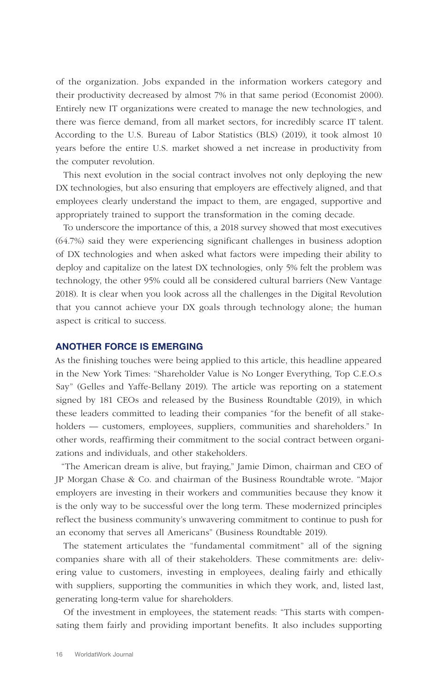of the organization. Jobs expanded in the information workers category and their productivity decreased by almost 7% in that same period (Economist 2000). Entirely new IT organizations were created to manage the new technologies, and there was fierce demand, from all market sectors, for incredibly scarce IT talent. According to the U.S. Bureau of Labor Statistics (BLS) (2019), it took almost 10 years before the entire U.S. market showed a net increase in productivity from the computer revolution.

This next evolution in the social contract involves not only deploying the new DX technologies, but also ensuring that employers are effectively aligned, and that employees clearly understand the impact to them, are engaged, supportive and appropriately trained to support the transformation in the coming decade.

To underscore the importance of this, a 2018 survey showed that most executives (64.7%) said they were experiencing significant challenges in business adoption of DX technologies and when asked what factors were impeding their ability to deploy and capitalize on the latest DX technologies, only 5% felt the problem was technology, the other 95% could all be considered cultural barriers (New Vantage 2018). It is clear when you look across all the challenges in the Digital Revolution that you cannot achieve your DX goals through technology alone; the human aspect is critical to success.

## ANOTHER FORCE IS EMERGING

As the finishing touches were being applied to this article, this headline appeared in the New York Times: "Shareholder Value is No Longer Everything, Top C.E.O.s Say" (Gelles and Yaffe-Bellany 2019). The article was reporting on a statement signed by 181 CEOs and released by the Business Roundtable (2019), in which these leaders committed to leading their companies "for the benefit of all stakeholders — customers, employees, suppliers, communities and shareholders." In other words, reaffirming their commitment to the social contract between organizations and individuals, and other stakeholders.

"The American dream is alive, but fraying," Jamie Dimon, chairman and CEO of JP Morgan Chase & Co. and chairman of the Business Roundtable wrote. "Major employers are investing in their workers and communities because they know it is the only way to be successful over the long term. These modernized principles reflect the business community's unwavering commitment to continue to push for an economy that serves all Americans" (Business Roundtable 2019).

The statement articulates the "fundamental commitment" all of the signing companies share with all of their stakeholders. These commitments are: delivering value to customers, investing in employees, dealing fairly and ethically with suppliers, supporting the communities in which they work, and, listed last, generating long-term value for shareholders.

Of the investment in employees, the statement reads: "This starts with compensating them fairly and providing important benefits. It also includes supporting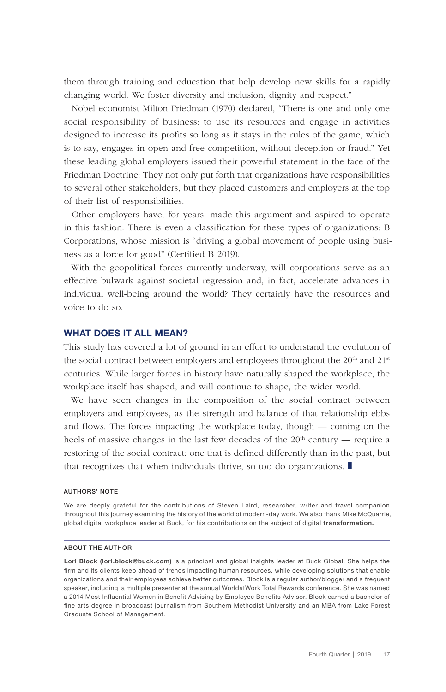them through training and education that help develop new skills for a rapidly changing world. We foster diversity and inclusion, dignity and respect."

Nobel economist Milton Friedman (1970) declared, "There is one and only one social responsibility of business: to use its resources and engage in activities designed to increase its profits so long as it stays in the rules of the game, which is to say, engages in open and free competition, without deception or fraud." Yet these leading global employers issued their powerful statement in the face of the Friedman Doctrine: They not only put forth that organizations have responsibilities to several other stakeholders, but they placed customers and employers at the top of their list of responsibilities.

Other employers have, for years, made this argument and aspired to operate in this fashion. There is even a classification for these types of organizations: B Corporations, whose mission is "driving a global movement of people using business as a force for good" (Certified B 2019).

With the geopolitical forces currently underway, will corporations serve as an effective bulwark against societal regression and, in fact, accelerate advances in individual well-being around the world? They certainly have the resources and voice to do so.

## WHAT DOES IT ALL MEAN?

This study has covered a lot of ground in an effort to understand the evolution of the social contract between employers and employees throughout the 20<sup>th</sup> and 21<sup>st</sup> centuries. While larger forces in history have naturally shaped the workplace, the workplace itself has shaped, and will continue to shape, the wider world.

We have seen changes in the composition of the social contract between employers and employees, as the strength and balance of that relationship ebbs and flows. The forces impacting the workplace today, though — coming on the heels of massive changes in the last few decades of the  $20<sup>th</sup>$  century — require a restoring of the social contract: one that is defined differently than in the past, but that recognizes that when individuals thrive, so too do organizations.  $\blacksquare$ 

#### AUTHORS' NOTE

We are deeply grateful for the contributions of Steven Laird, researcher, writer and travel companion throughout this journey examining the history of the world of modern-day work. We also thank Mike McQuarrie, global digital workplace leader at Buck, for his contributions on the subject of digital transformation.

#### ABOUT THE AUTHOR

Lori Block (lori.block@buck.com) is a principal and global insights leader at Buck Global. She helps the firm and its clients keep ahead of trends impacting human resources, while developing solutions that enable organizations and their employees achieve better outcomes. Block is a regular author/blogger and a frequent speaker, including a multiple presenter at the annual WorldatWork Total Rewards conference. She was named a 2014 Most Influential Women in Benefit Advising by Employee Benefits Advisor. Block earned a bachelor of fine arts degree in broadcast journalism from Southern Methodist University and an MBA from Lake Forest Graduate School of Management.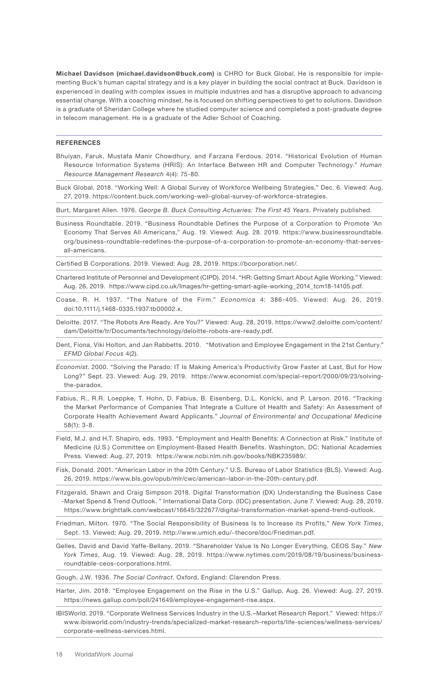Michael Davidson (michael.davidson@buck.com) is CHRO for Buck Global. He is responsible for implementing Buck's human capital strategy and is a key player in building the social contract at Buck. Davidson is experienced in dealing with complex issues in multiple industries and has a disruptive approach to advancing essential change. With a coaching mindset, he is focused on shifting perspectives to get to solutions. Davidson is a graduate of Sheridan College where he studied computer science and completed a post-graduate degree in telecom management. He is a graduate of the Adler School of Coaching.

#### REFERENCES

- Bhuiyan, Faruk, Mustafa Manir Chowdhury, and Farzana Ferdous. 2014. "Historical Evolution of Human Resource Information Systems (HRIS): An Interface Between HR and Computer Technology." *Human Resource Management Research* 4(4): 75-80.
- Buck Global. 2018. "Working Well: A Global Survey of Workforce Wellbeing Strategies," Dec. 6. Viewed: Aug. 27, 2019. https://content.buck.com/working-well-global-survey-of-workforce-strategies.

Burt, Margaret Allen. 1976. *George B. Buck Consulting Actuaries: The First 45 Years*. Privately published.

Business Roundtable. 2019. "Business Roundtable Defines the Purpose of a Corporation to Promote 'An Economy That Serves All Americans," Aug. 19. Viewed: Aug. 28. 2019. https://www.businessroundtable. org/business-roundtable-redefines-the-purpose-of-a-corporation-to-promote-an-economy-that-servesall-americans.

Certified B Corporations. 2019. Viewed: Aug. 28, 2019. https://bcorporation.net/.

Chartered Institute of Personnel and Development (CIPD). 2014. "HR: Getting Smart About Agile Working." Viewed: Aug. 26, 2019. https://www.cipd.co.uk/Images/hr-getting-smart-agile-working\_2014\_tcm18-14105.pdf.

- Coase, R. H. 1937. "The Nature of the Firm." *Economica* 4: 386-405. Viewed: Aug. 26, 2019. doi:10.1111/j.1468-0335.1937.tb00002.x.
- Deloitte. 2017. "The Robots Are Ready. Are You?" Viewed: Aug. 28, 2019. https://www2.deloitte.com/content/ dam/Deloitte/tr/Documents/technology/deloitte-robots-are-ready.pdf.
- Dent, Fiona, Viki Holton, and Jan Rabbetts. 2010. "Motivation and Employee Engagement in the 21st Century." *EFMD Global Focus* 4(2).
- *Economist*. 2000. "Solving the Parado: IT Is Making America's Productivity Grow Faster at Last, But for How Long?" Sept. 23. Viewed: Aug. 29, 2019. https://www.economist.com/special-report/2000/09/23/solvingthe-paradox.
- Fabius, R., R.R. Loeppke, T. Hohn, D. Fabius, B. Eisenberg, D.L, Konicki, and P. Larson. 2016. "Tracking the Market Performance of Companies That Integrate a Culture of Health and Safety: An Assessment of Corporate Health Achievement Award Applicants." *Journal of Environmental and Occupational Medicine*  58(1): 3-8.
- Field, M.J. and H.T. Shapiro, eds. 1993. "Employment and Health Benefits: A Connection at Risk." Institute of Medicine (U.S.) Committee on Employment-Based Health Benefits. Washington, DC: National Academies Press. Viewed: Aug. 27, 2019. https://www.ncbi.nlm.nih.gov/books/NBK235989/.
- Fisk, Donald. 2001. "American Labor in the 20th Century." U.S. Bureau of Labor Statistics (BLS). Viewed: Aug. 26, 2019. https://www.bls.gov/opub/mlr/cwc/american-labor-in-the-20th-century.pdf.
- Fitzgerald, Shawn and Craig Simpson 2018. Digital Transformation (DX) Understanding the Business Case -Market Spend & Trend Outlook. " International Data Corp. (IDC) presentation, June 7. Viewed: Aug. 28, 2019. https://www.brighttalk.com/webcast/16645/322677/digital-transformation-market-spend-trend-outlook.
- Friedman, Milton. 1970. "The Social Responsibility of Business Is to Increase its Profits," *New York Times*, Sept. 13. Viewed: Aug. 29, 2019. http://www.umich.edu/~thecore/doc/Friedman.pdf.
- Gelles, David and David Yaffe-Bellany. 2019. "Shareholder Value Is No Longer Everything, CEOS Say." *New York Times*, Aug. 19. Viewed: Aug. 28, 2019. https://www.nytimes.com/2019/08/19/business/businessroundtable-ceos-corporations.html.

Gough, J.W. 1936. *The Social Contract*. Oxford, England: Clarendon Press.

- Harter, Jim. 2018. "Employee Engagement on the Rise in the U.S." Gallup, Aug. 26. Viewed: Aug. 27, 2019. https://news.gallup.com/poll/241649/employee-engagement-rise.aspx.
- IBISWorld. 2019. "Corporate Wellness Services Industry in the U.S.–Market Research Report." Viewed: https:// www.ibisworld.com/industry-trends/specialized-market-research-reports/life-sciences/wellness-services/ corporate-wellness-services.html.